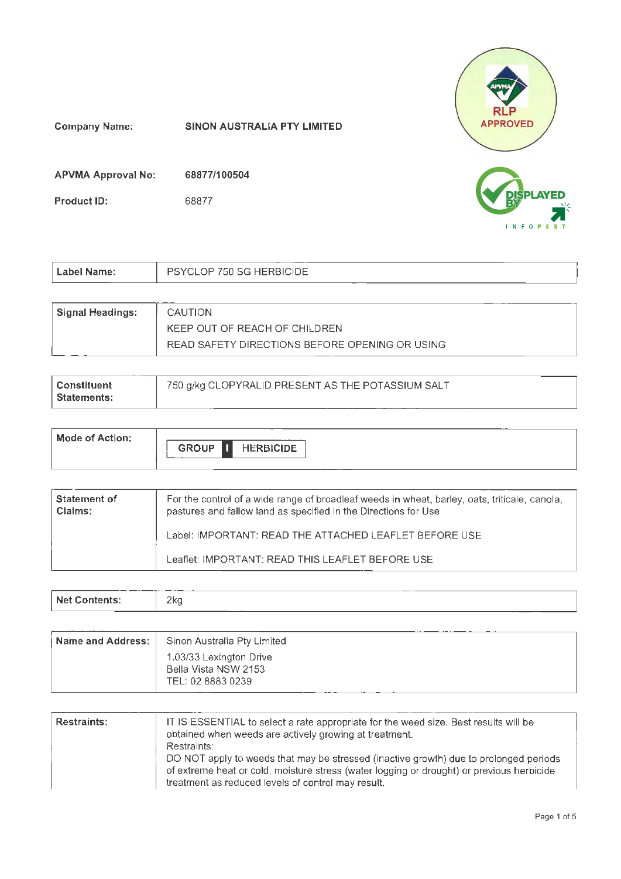

| Label Name:             | <b>PSYCLOP 750 SG HERBICIDE</b> |
|-------------------------|---------------------------------|
|                         |                                 |
| <b>Signal Headings:</b> | CAUTION                         |

| KEEP OUT OF REACH OF CHILDREN.                 |
|------------------------------------------------|
| READ SAFETY DIRECTIONS BEFORE OPENING OR USING |
|                                                |

| l Constituent<br>∣ Statements: | 750 g/kg CLOPYRALID PRESENT AS THE POTASSIUM SALT |
|--------------------------------|---------------------------------------------------|
|                                |                                                   |

| <b>Mode of Action:</b> | -------<br><b>GROUP</b><br><b>HERBICIDE</b><br>H |  |
|------------------------|--------------------------------------------------|--|
|                        |                                                  |  |

| Statement of<br>Claims: | For the control of a wide range of broadleaf weeds in wheat, barley, oats, triticale, canola,<br>pastures and fallow land as specified in the Directions for Use |
|-------------------------|------------------------------------------------------------------------------------------------------------------------------------------------------------------|
|                         | Label: IMPORTANT: READ THE ATTACHED LEAFLET BEFORE USE                                                                                                           |
|                         | Leaflet: IMPORTANT: READ THIS LEAFLET BEFORE USE                                                                                                                 |

| ____<br><b>Net</b><br>contents. | 2kc |  | __ |  |  |
|---------------------------------|-----|--|----|--|--|
|                                 |     |  |    |  |  |

| . Name and Address: . | Sinon Australia Pty Limited                                          |
|-----------------------|----------------------------------------------------------------------|
|                       | 1.03/33 Lexington Drive<br>Bella Vista NSW 2153<br>TEL: 02 8883 0239 |

| Restraints: | IT IS ESSENTIAL to select a rate appropriate for the weed size. Best results will be<br>obtained when weeds are actively growing at treatment.<br>Restraints:                                                                            |
|-------------|------------------------------------------------------------------------------------------------------------------------------------------------------------------------------------------------------------------------------------------|
|             | DO NOT apply to weeds that may be stressed (inactive growth) due to prolonged periods<br>of extreme heat or cold, moisture stress (water logging or drought) or previous herbicide<br>treatment as reduced levels of control may result. |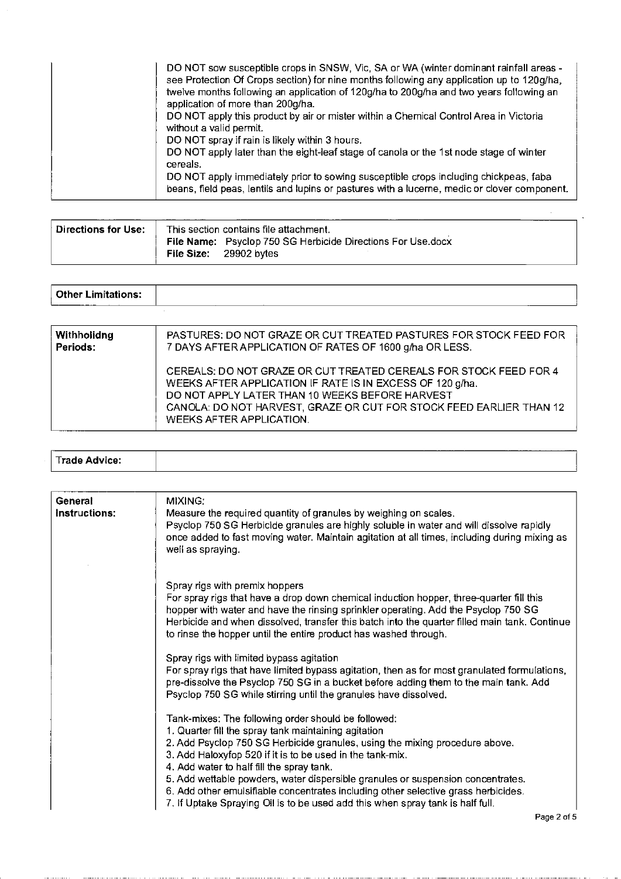| DO NOT sow susceptible crops in SNSW, Vic, SA or WA (winter dominant rainfall areas -<br>see Protection Of Crops section) for nine months following any application up to 120g/ha,<br>twelve months following an application of 120g/ha to 200g/ha and two years following an<br>application of more than 200g/ha.<br>DO NOT apply this product by air or mister within a Chemical Control Area in Victoria |
|-------------------------------------------------------------------------------------------------------------------------------------------------------------------------------------------------------------------------------------------------------------------------------------------------------------------------------------------------------------------------------------------------------------|
| without a valid permit.<br>DO NOT spray if rain is likely within 3 hours.                                                                                                                                                                                                                                                                                                                                   |
| DO NOT apply later than the eight-leaf stage of canola or the 1st node stage of winter<br>cereals.                                                                                                                                                                                                                                                                                                          |
| DO NOT apply immediately prior to sowing susceptible crops including chickpeas, faba<br>beans, field peas, lentils and lupins or pastures with a lucerne, medic or clover component.                                                                                                                                                                                                                        |

| Directions for Use: | This section contains file attachment. |                                                                                              |  |  |
|---------------------|----------------------------------------|----------------------------------------------------------------------------------------------|--|--|
|                     |                                        | <b>File Name:</b> Psyclop 750 SG Herbicide Directions For Use.docx<br>File Size: 29902 bytes |  |  |

| Other Limitations:<br>------ |  |  |  |  |
|------------------------------|--|--|--|--|
|                              |  |  |  |  |

| Withholidng | PASTURES: DO NOT GRAZE OR CUT TREATED PASTURES FOR STOCK FEED FOR                                                                                                                                                                                                                    |
|-------------|--------------------------------------------------------------------------------------------------------------------------------------------------------------------------------------------------------------------------------------------------------------------------------------|
| Periods:    | 7 DAYS AFTER APPLICATION OF RATES OF 1600 g/ha OR LESS.                                                                                                                                                                                                                              |
|             | CEREALS: DO NOT GRAZE OR CUT TREATED CEREALS FOR STOCK FEED FOR 4<br>WEEKS AFTER APPLICATION IF RATE IS IN EXCESS OF 120 g/ha.<br>DO NOT APPLY LATER THAN 10 WEEKS BEFORE HARVEST<br>CANOLA: DO NOT HARVEST, GRAZE OR CUT FOR STOCK FEED EARLIER THAN 12<br>WEEKS AFTER APPLICATION. |

|                     | ________ |
|---------------------|----------|
| $\sim$ $\sqrt{C}$ . |          |

| General<br>Instructions: | MIXING:<br>Measure the required quantity of granules by weighing on scales.<br>Psyclop 750 SG Herbicide granules are highly soluble in water and will dissolve rapidly<br>once added to fast moving water. Maintain agitation at all times, including during mixing as<br>well as spraying.                                                                                                                                                                                                                                                                     |
|--------------------------|-----------------------------------------------------------------------------------------------------------------------------------------------------------------------------------------------------------------------------------------------------------------------------------------------------------------------------------------------------------------------------------------------------------------------------------------------------------------------------------------------------------------------------------------------------------------|
|                          | Spray rigs with premix hoppers<br>For spray rigs that have a drop down chemical induction hopper, three-quarter fill this<br>hopper with water and have the rinsing sprinkler operating. Add the Psyclop 750 SG<br>Herbicide and when dissolved, transfer this batch into the quarter filled main tank. Continue<br>to rinse the hopper until the entire product has washed through.                                                                                                                                                                            |
|                          | Spray rigs with limited bypass agitation<br>For spray rigs that have limited bypass agitation, then as for most granulated formulations,<br>pre-dissolve the Psyclop 750 SG in a bucket before adding them to the main tank. Add<br>Psyclop 750 SG while stirring until the granules have dissolved.                                                                                                                                                                                                                                                            |
|                          | Tank-mixes: The following order should be followed:<br>1. Quarter fill the spray tank maintaining agitation<br>2. Add Psyclop 750 SG Herbicide granules, using the mixing procedure above.<br>3. Add Haloxyfop 520 if it is to be used in the tank-mix.<br>4. Add water to half fill the spray tank.<br>5. Add wettable powders, water dispersible granules or suspension concentrates.<br>6. Add other emulsifiable concentrates including other selective grass herbicides.<br>7. If Uptake Spraying Oil is to be used add this when spray tank is half full. |
|                          |                                                                                                                                                                                                                                                                                                                                                                                                                                                                                                                                                                 |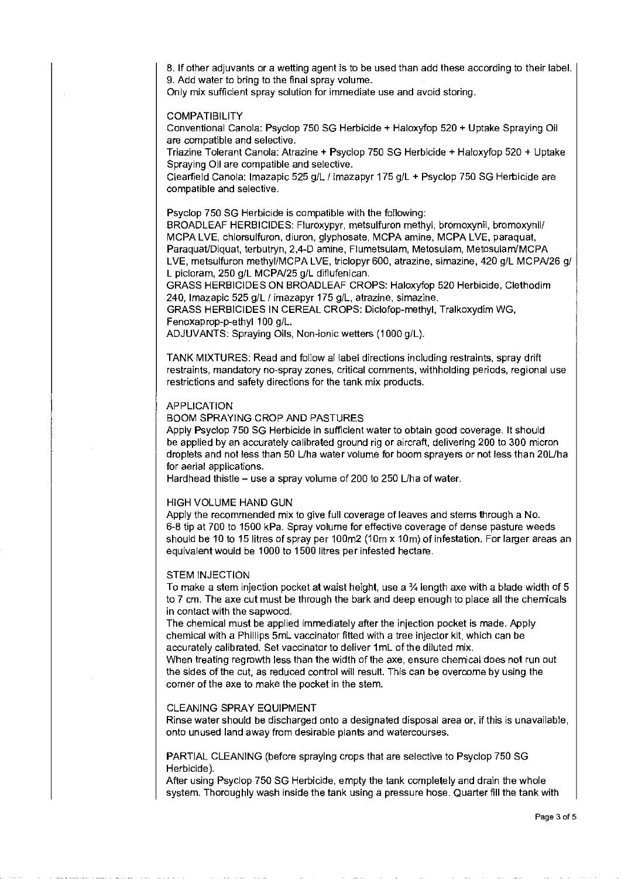8. If other adjuvants or a wetting agent is to be used than add these according to their labeL 9. Add water to bring to the final spray volume.

Only mix sufficient spray solution for immediate use and avoid storing.

# COMPATIBILITY

Conventional Canola: Psyclop 750 SG Herbicide + Haloxyfop 520 + Uptake Spraying Oil are compatible and selective.

Triazine Tolerant Canola: Atrazine + Psyclop 750 SG Herbicide + Haloxyfop 520 + Uptake Spraying Oil are compatible and selective.

Clearfield Canola: lmazapic 525 g/L I imazapyr 175 g/L + Psyclop 750 SG Herbicide are compatible and selective.

Psyclop 750 SG Herbicide is compatible with the following:

BROADLEAF HERBICIDES: Fluroxypyr, metsulfuron methyl, bromoxynil, bromoxynil/ MCPA LVE, chlorsulfuron, diuron, glyphosate, MCPA amine, MCPA LVE, paraquat, ParaquaVDiquat, terbutryn, 2,4-D amine, Flumetsulam, Metosulam, Metosulam/MCPA LVE, metsulfuron methyi/MCPA LVE, triclopyr 600, atrazine, simazine, 420 g/L MCPN26 g/ L picloram, 250 g/L MCPN25 g/L difiufenican.

GRASS HERBICIDES ON BROADLEAF CROPS: Haloxyfop 520 Herbicide, Clethodim 240, lmazapic 525 g/L I imazapyr 175 g/L, atrazine, simazine.

GRASS HERBICIDES IN CEREAL CROPS: Diclofop-methyl, Tralkoxydim WG, Fenoxaprop-p-ethyl 100 g/L.

ADJUVANTS: Spraying Oils, Non-ionic wetters (1000 g/L).

TANK MIXTURES: Read and follow allabel directions including restraints, spray drift restraints, mandatory no-spray zones, critical comments, withholding periods, regional use restrictions and safety directions for the tank mix products.

# APPLICATION

# BOOM SPRAYING CROP AND PASTURES

Apply Psyclop 750 SG Herbicide in sufficient water to obtain good coverage. It should be applied by an accurately calibrated ground rig or aircraft, delivering 200 to 300 micron droplets and not less than 50 L/ha water volume for boom sprayers or not less than 20L/ha for aerial applications.

Hardhead thistle – use a spray volume of 200 to 250 L/ha of water.

# HIGH VOLUME HAND GUN

Apply the recommended mix to give full coverage of leaves and stems through a No. 6-8 tip at 700 to 1500 kPa. Spray volume for effective coverage of dense pasture weeds should be 10 to 15 litres of spray per 100m2 (1Om x 1Om) of infestation. For larger areas an equivalent would be 1000 to 1500 litres per infested hectare.

#### STEM INJECTION

To make a stem injection pocket at waist height, use a 34 length axe with a blade width of 5 to 7 em. The axe cut must be through the bark and deep enough to place all the chemicals in contact with the sapwood.

The chemical must be applied immediately after the injection pocket is made. Apply chemical with a Phillips 5mL vaccinator fitted with a tree injector kit, which can be accurately calibrated. Set vaccinator to deliver 1 mL of the diluted mix.

When treating regrowth less than the width of the axe, ensure chemical does not run out the sides of the cut, as reduced control will result. This can be overcome by using the corner of the axe to make the pocket in the stem.

#### CLEANING SPRAY EQUIPMENT

Rinse water should be discharged onto a designated disposal area or, if this is unavailable, onto unused land away from desirable plants and watercourses.

PARTIAL CLEANING (before spraying crops that are selective to Psyclop 750 SG Herbicide).

After using Psyclop 750 SG Herbicide, empty the tank completely and drain the whole system. Thoroughly wash inside the tank using a pressure hose. Quarter fill the tank with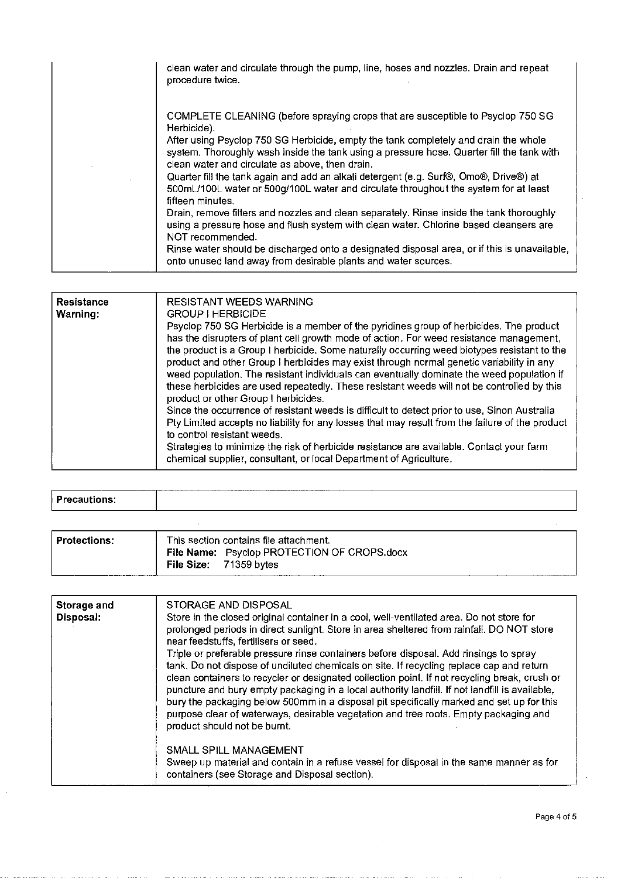| clean water and circulate through the pump, line, hoses and nozzles. Drain and repeat<br>procedure twice.                                                                                                                                                                                                                                                                                                                                                                                                                                                                                                                                                                                                                                                                                                                                                                                                             |
|-----------------------------------------------------------------------------------------------------------------------------------------------------------------------------------------------------------------------------------------------------------------------------------------------------------------------------------------------------------------------------------------------------------------------------------------------------------------------------------------------------------------------------------------------------------------------------------------------------------------------------------------------------------------------------------------------------------------------------------------------------------------------------------------------------------------------------------------------------------------------------------------------------------------------|
| COMPLETE CLEANING (before spraying crops that are susceptible to Psyclop 750 SG<br>Herbicide).<br>After using Psyclop 750 SG Herbicide, empty the tank completely and drain the whole<br>system. Thoroughly wash inside the tank using a pressure hose. Quarter fill the tank with<br>clean water and circulate as above, then drain.<br>Quarter fill the tank again and add an alkali detergent (e.g. Surf®, Omo®, Drive®) at<br>500mL/100L water or 500g/100L water and circulate throughout the system for at least<br>fifteen minutes.<br>Drain, remove filters and nozzles and clean separately. Rinse inside the tank thoroughly<br>using a pressure hose and flush system with clean water. Chlorine based cleansers are<br>NOT recommended.<br>Rinse water should be discharged onto a designated disposal area, or if this is unavailable,<br>onto unused land away from desirable plants and water sources. |

| <b>Resistance</b><br>Warning: | <b>RESISTANT WEEDS WARNING</b><br><b>GROUP I HERBICIDE</b><br>Psyclop 750 SG Herbicide is a member of the pyridines group of herbicides. The product<br>has the disrupters of plant cell growth mode of action. For weed resistance management,<br>the product is a Group I herbicide. Some naturally occurring weed biotypes resistant to the<br>product and other Group I herbicides may exist through normal genetic variability in any<br>weed population. The resistant individuals can eventually dominate the weed population if<br>these herbicides are used repeatedly. These resistant weeds will not be controlled by this<br>product or other Group I herbicides.<br>Since the occurrence of resistant weeds is difficult to detect prior to use, Sinon Australia<br>Pty Limited accepts no liability for any losses that may result from the failure of the product<br>to control resistant weeds.<br>Strategies to minimize the risk of herbicide resistance are available. Contact your farm<br>chemical supplier, consultant, or local Department of Agriculture. |
|-------------------------------|-----------------------------------------------------------------------------------------------------------------------------------------------------------------------------------------------------------------------------------------------------------------------------------------------------------------------------------------------------------------------------------------------------------------------------------------------------------------------------------------------------------------------------------------------------------------------------------------------------------------------------------------------------------------------------------------------------------------------------------------------------------------------------------------------------------------------------------------------------------------------------------------------------------------------------------------------------------------------------------------------------------------------------------------------------------------------------------|
|-------------------------------|-----------------------------------------------------------------------------------------------------------------------------------------------------------------------------------------------------------------------------------------------------------------------------------------------------------------------------------------------------------------------------------------------------------------------------------------------------------------------------------------------------------------------------------------------------------------------------------------------------------------------------------------------------------------------------------------------------------------------------------------------------------------------------------------------------------------------------------------------------------------------------------------------------------------------------------------------------------------------------------------------------------------------------------------------------------------------------------|

|                     | ------- |  |
|---------------------|---------|--|
|                     |         |  |
|                     |         |  |
| <b>Precautions:</b> |         |  |
|                     |         |  |
|                     |         |  |
|                     |         |  |

| <b>Protections:</b> | This section contains file attachment.                                |  |  |
|---------------------|-----------------------------------------------------------------------|--|--|
|                     | File Name: Psyclop PROTECTION OF CROPS.docx<br>File Size: 71359 bytes |  |  |
|                     |                                                                       |  |  |

| Storage and<br>Disposal: | STORAGE AND DISPOSAL<br>Store in the closed original container in a cool, well-ventilated area. Do not store for<br>prolonged periods in direct sunlight. Store in area sheltered from rainfall. DO NOT store<br>near feedstuffs, fertilisers or seed.<br>Triple or preferable pressure rinse containers before disposal. Add rinsings to spray<br>tank. Do not dispose of undiluted chemicals on site. If recycling replace cap and return<br>clean containers to recycler or designated collection point. If not recycling break, crush or<br>puncture and bury empty packaging in a local authority landfill. If not landfill is available,<br>bury the packaging below 500mm in a disposal pit specifically marked and set up for this<br>purpose clear of waterways, desirable vegetation and tree roots. Empty packaging and<br>product should not be burnt.<br>SMALL SPILL MANAGEMENT<br>Sweep up material and contain in a refuse vessel for disposal in the same manner as for<br>containers (see Storage and Disposal section). |
|--------------------------|-------------------------------------------------------------------------------------------------------------------------------------------------------------------------------------------------------------------------------------------------------------------------------------------------------------------------------------------------------------------------------------------------------------------------------------------------------------------------------------------------------------------------------------------------------------------------------------------------------------------------------------------------------------------------------------------------------------------------------------------------------------------------------------------------------------------------------------------------------------------------------------------------------------------------------------------------------------------------------------------------------------------------------------------|
|                          |                                                                                                                                                                                                                                                                                                                                                                                                                                                                                                                                                                                                                                                                                                                                                                                                                                                                                                                                                                                                                                           |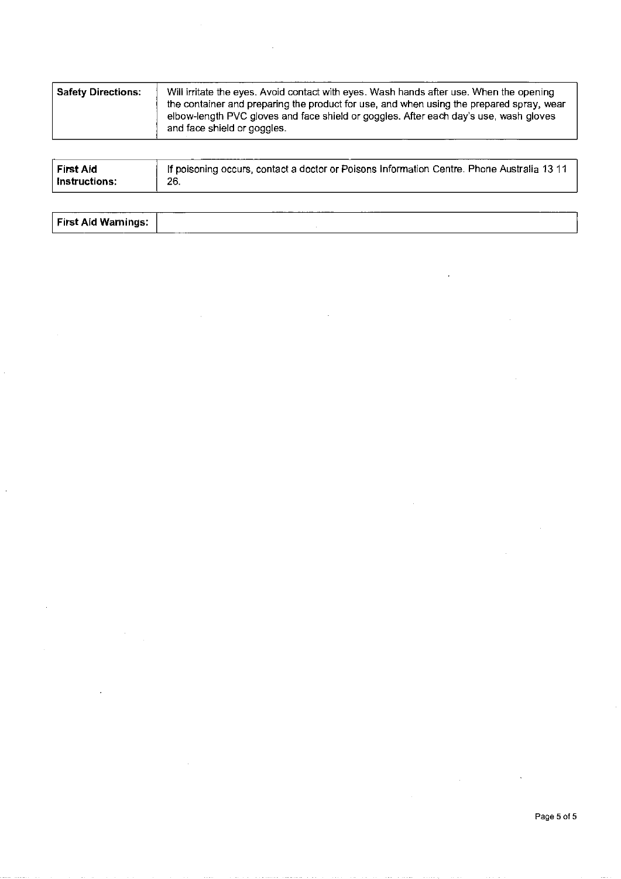| <b>Safety Directions:</b> | Will irritate the eyes. Avoid contact with eyes. Wash hands after use. When the opening                                                                                                                          |  |  |
|---------------------------|------------------------------------------------------------------------------------------------------------------------------------------------------------------------------------------------------------------|--|--|
|                           | the container and preparing the product for use, and when using the prepared spray, wear<br>elbow-length PVC gloves and face shield or goggles. After each day's use, wash gloves<br>and face shield or goggles. |  |  |

| If poisoning occurs, contact a doctor or Poisons Information Centre. Phone Australia 13 11<br>First Aid<br>26.<br>∣ Instructions: |  |
|-----------------------------------------------------------------------------------------------------------------------------------|--|
|-----------------------------------------------------------------------------------------------------------------------------------|--|

| <b><i><u>PARTIES COMPANY</u></i></b> | ------- | _________ | ----- |
|--------------------------------------|---------|-----------|-------|
| First Aid Warnings:                  |         |           |       |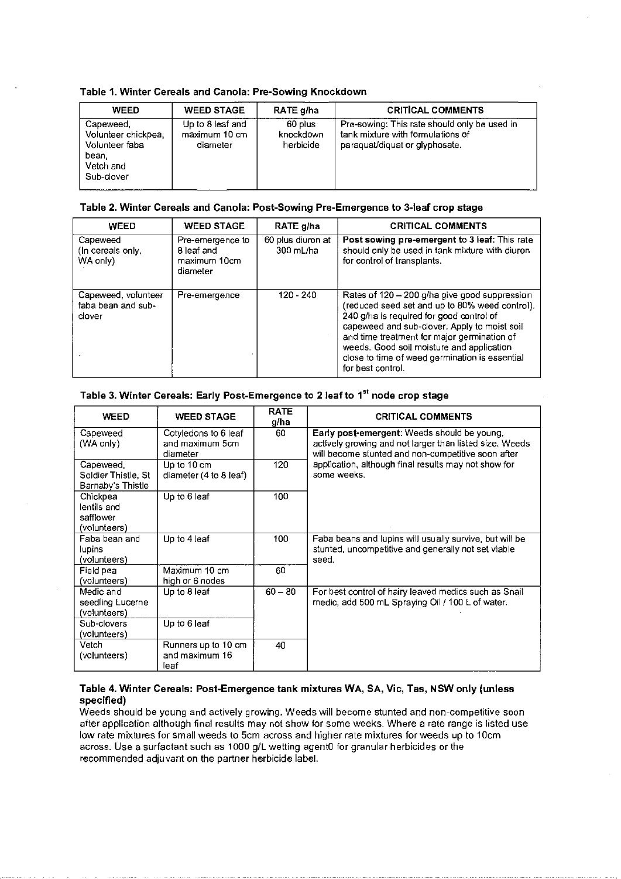# Table 1. Winter Cereals and Canola: Pre-Sowing Knockdown

| <b>WEED</b>                                                                            | <b>WEED STAGE</b>                             | RATE g/ha                         | <b>CRITICAL COMMENTS</b>                                                                                            |
|----------------------------------------------------------------------------------------|-----------------------------------------------|-----------------------------------|---------------------------------------------------------------------------------------------------------------------|
| Capeweed,<br>Volunteer chickpea,<br>Volunteer faba<br>bean.<br>Vetch and<br>Sub-clover | Up to 8 leaf and<br>maximum 10 cm<br>diameter | 60 plus<br>knockdown<br>herbicide | Pre-sowing: This rate should only be used in<br>tank mixture with formulations of<br>paraquat/diquat or glyphosate. |

# Table 2. Winter Cereals and Canola: Post-Sowing Pre-Emergence to 3-leaf crop stage

| <b>WEED</b>                                         | <b>WEED STAGE</b>                                          | RATE g/ha                      | <b>CRITICAL COMMENTS</b>                                                                                                                                                                                                                                                                                                                                       |
|-----------------------------------------------------|------------------------------------------------------------|--------------------------------|----------------------------------------------------------------------------------------------------------------------------------------------------------------------------------------------------------------------------------------------------------------------------------------------------------------------------------------------------------------|
| Capeweed<br>(In cereals only,<br>WA only)           | Pre-emergence to<br>8 leaf and<br>maximum 10cm<br>diameter | 60 plus diuron at<br>300 mL/ha | Post sowing pre-emergent to 3 leaf: This rate<br>should only be used in tank mixture with diuron<br>for control of transplants.                                                                                                                                                                                                                                |
| Capeweed, volunteer<br>faba bean and sub-<br>clover | Pre-emergence                                              | $120 - 240$                    | Rates of 120 - 200 g/ha give good suppression<br>(reduced seed set and up to 80% weed control).<br>240 g/ha is required for good control of<br>capeweed and sub-clover. Apply to moist soil<br>and time treatment for major germination of<br>weeds. Good soil moisture and application<br>close to time of weed germination is essential<br>for hest control. |

## Table 3. Winter Cereals: Early Post-Emergence to 2 leaf to 1<sup>st</sup> node crop stage

| <b>WEED</b>                                                                  | <b>WEED STAGE</b>                                   | <b>RATE</b><br>g/ha | <b>CRITICAL COMMENTS</b>                                                                                                                                     |
|------------------------------------------------------------------------------|-----------------------------------------------------|---------------------|--------------------------------------------------------------------------------------------------------------------------------------------------------------|
| Capeweed<br>(WA only)                                                        | Cotyledons to 6 leaf<br>and maximum 5cm<br>diameter | 60                  | Early post-emergent: Weeds should be young,<br>actively growing and not larger than listed size. Weeds<br>will become stunted and non-competitive soon after |
| Capeweed.<br>Soldier Thistle, St<br>Barnaby's Thistle                        | Up to 10 cm<br>diameter (4 to 8 leaf)               | 120                 | application, although final results may not show for<br>some weeks.                                                                                          |
| Chickpea<br>lentils and<br>safflower<br>(volunteers)                         | Up to 6 leaf                                        | 100                 |                                                                                                                                                              |
| Faba bean and<br>lupins<br>(volunteers)                                      | Up to 4 leaf                                        | 100                 | Faba beans and lupins will usually survive, but will be<br>stunted, uncompetitive and generally not set viable<br>seed.                                      |
| Field pea<br>(volunteers)                                                    | Maximum 10 cm<br>high or 6 nodes                    | 60                  |                                                                                                                                                              |
| Medic and<br>seedling Lucerne<br>(volunteers)<br>Sub-clovers<br>(volunteers) | Up to 8 leaf<br>Up to 6 leaf                        | $60 - 80$           | For best control of hairy leaved medics such as Snail<br>medic, add 500 mL Spraying Oil / 100 L of water.                                                    |
| Vetch<br>(volunteers)                                                        | Runners up to 10 cm<br>and maximum 16<br>leaf       | 40                  |                                                                                                                                                              |

# Table 4. Winter Cereals: Post-Emergence tank mixtures WA, SA, Vic, Tas, NSW only (unless specified)

Weeds should be young and actively growing. Weeds will become stunted and non-competitive soon after application although final results may not show for some weeks. Where a rate range is listed use low rate mixtures for small weeds to 5cm across and higher rate mixtures for weeds up to 10cm across. Use a surfactant such as 1000 g/L wetting agent0 for granular herbicides or the recommended adjuvant on the partner herbicide label.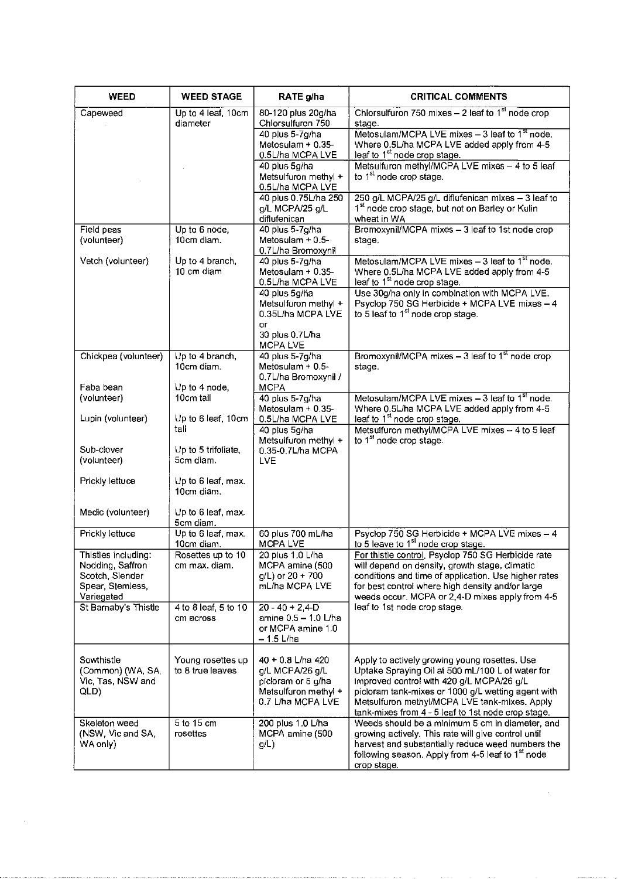| <b>WEED</b>                                                                                  | <b>WEED STAGE</b>                     | RATE g/ha                                                                                               | <b>CRITICAL COMMENTS</b>                                                                                                                                                                                                                                                                                    |
|----------------------------------------------------------------------------------------------|---------------------------------------|---------------------------------------------------------------------------------------------------------|-------------------------------------------------------------------------------------------------------------------------------------------------------------------------------------------------------------------------------------------------------------------------------------------------------------|
| Capeweed                                                                                     | Up to 4 leaf, 10cm<br>diameter        | 80-120 plus 20g/ha<br>Chlorsulfuron 750                                                                 | Chlorsulfuron 750 mixes $-2$ leaf to 1 <sup>st</sup> node crop                                                                                                                                                                                                                                              |
|                                                                                              |                                       | 40 plus 5-7g/ha                                                                                         | stage.<br>Metosulam/MCPA LVE mixes $-3$ leaf to $1st$ node.                                                                                                                                                                                                                                                 |
|                                                                                              |                                       | Metosulam + 0.35-<br>0.5L/ha MCPA LVE                                                                   | Where 0.5L/ha MCPA LVE added apply from 4-5<br>leaf to 1 <sup>st</sup> node crop stage.                                                                                                                                                                                                                     |
|                                                                                              |                                       | 40 plus 5g/ha                                                                                           | Metsulfuron methyl/MCPA LVE mixes - 4 to 5 leaf                                                                                                                                                                                                                                                             |
|                                                                                              |                                       | Metsulfuron methyl +<br>0.5L/ha MCPA LVE                                                                | to 1 <sup>st</sup> node crop stage.                                                                                                                                                                                                                                                                         |
|                                                                                              |                                       | 40 plus 0.75L/ha 250                                                                                    | 250 g/L MCPA/25 g/L diflufenican mixes - 3 leaf to                                                                                                                                                                                                                                                          |
|                                                                                              |                                       | g/L MCPA/25 g/L<br>diflufenican                                                                         | 1 <sup>st</sup> node crop stage, but not on Barley or Kulin<br>wheat in WA                                                                                                                                                                                                                                  |
| Field peas                                                                                   | Up to 6 node,                         | 40 plus 5-7g/ha                                                                                         | Bromoxynil/MCPA mixes - 3 leaf to 1st node crop                                                                                                                                                                                                                                                             |
| (volunteer)                                                                                  | 10cm diam.                            | Metosulam + 0.5-<br>0.7L/ha Bromoxynil                                                                  | stage.                                                                                                                                                                                                                                                                                                      |
| Vetch (volunteer)                                                                            | Up to 4 branch,<br>10 cm diam         | 40 plus 5-7g/ha<br>Metosulam + 0.35-<br>0.5L/ha MCPA LVE                                                | Metosulam/MCPA LVE mixes $-3$ leaf to 1 <sup>st</sup> node.<br>Where 0.5L/ha MCPA LVE added apply from 4-5<br>leaf to 1 <sup>st</sup> node crop stage.                                                                                                                                                      |
|                                                                                              |                                       | 40 plus 5g/ha<br>Metsulfuron methyl +<br>0.35L/ha MCPA LVE<br>оr                                        | Use 30g/ha only in combination with MCPA LVE.<br>Psyclop 750 SG Herbicide + MCPA LVE mixes - 4<br>to 5 leaf to 1 <sup>st</sup> node crop stage.                                                                                                                                                             |
|                                                                                              |                                       | 30 plus 0.7L/ha<br>MCPA LVE                                                                             |                                                                                                                                                                                                                                                                                                             |
| Chickpea (volunteer)                                                                         | Up to 4 branch,                       | 40 plus 5-7g/ha                                                                                         | Bromoxynil/MCPA mixes $-3$ leaf to $1st$ node crop                                                                                                                                                                                                                                                          |
|                                                                                              | 10cm diam.                            | Metosulam + 0.5-<br>0.7L/ha Bromoxynil /                                                                | stage.                                                                                                                                                                                                                                                                                                      |
| Faba bean                                                                                    | Up to 4 node,                         | <b>MCPA</b>                                                                                             |                                                                                                                                                                                                                                                                                                             |
| (volunteer)                                                                                  | 10cm tall                             | 40 plus 5-7g/ha                                                                                         | Metosulam/MCPA LVE mixes - 3 leaf to 1st node.                                                                                                                                                                                                                                                              |
| Lupin (volunteer)                                                                            | Up to 6 leaf, 10cm                    | Metosulam $+$ 0.35-<br>0.5L/ha MCPA LVE                                                                 | Where 0.5L/ha MCPA LVE added apply from 4-5<br>leaf to 1 <sup>st</sup> node crop stage.                                                                                                                                                                                                                     |
|                                                                                              | tall                                  | 40 plus 5g/ha                                                                                           | Metsulfuron methyl/MCPA LVE mixes - 4 to 5 leaf                                                                                                                                                                                                                                                             |
|                                                                                              |                                       | Metsulfuron methyl +                                                                                    | to 1 <sup>st</sup> node crop stage.                                                                                                                                                                                                                                                                         |
| Sub-clover<br>(volunteer)                                                                    | Up to 5 trifoliate,<br>5cm diam.      | 0.35-0.7L/ha MCPA<br>LVE                                                                                |                                                                                                                                                                                                                                                                                                             |
|                                                                                              |                                       |                                                                                                         |                                                                                                                                                                                                                                                                                                             |
| Prickly lettuce                                                                              | Up to 6 leaf, max.<br>10cm diam.      |                                                                                                         |                                                                                                                                                                                                                                                                                                             |
| Medic (volunteer)                                                                            | Up to 6 leaf, max.<br>5cm diam.       |                                                                                                         |                                                                                                                                                                                                                                                                                                             |
| Prickly lettuce                                                                              | Up to 6 leaf, max.                    | 60 plus 700 mL/ha                                                                                       | Psyclop 750 SG Herbicide + MCPA LVE mixes - 4                                                                                                                                                                                                                                                               |
|                                                                                              | 10cm diam.                            | MCPA LVE                                                                                                | to 5 leave to 1 <sup>st</sup> node crop stage.                                                                                                                                                                                                                                                              |
| Thistles including:<br>Nodding, Saffron<br>Scotch, Slender<br>Spear, Stemless,<br>Variegated | Rosettes up to 10<br>cm max. diam.    | 20 plus 1.0 L/ha<br>MCPA amine (500<br>$q/L$ ) or 20 + 700<br>mL/ha MCPA LVE                            | For thistle control, Psyclop 750 SG Herbicide rate<br>will depend on density, growth stage, climatic<br>conditions and time of application. Use higher rates<br>for best control where high density and/or large<br>weeds occur. MCPA or 2,4-D mixes apply from 4-5                                         |
| St Barnaby's Thistle                                                                         | 4 to 8 leaf, 5 to 10<br>cm across     | $20 - 40 + 2,4 - D$<br>amine 0.5 - 1.0 L/ha<br>or MCPA amine 1.0<br>$-1.5$ L/ha                         | leaf to 1st node crop stage.                                                                                                                                                                                                                                                                                |
| Sowthistle<br>(Common) (WA, SA<br>Vic. Tas, NSW and<br>QLD)                                  | Young rosettes up<br>to 8 true leaves | 40 + 0.8 L/ha 420<br>g/L MCPA/26 g/L<br>picloram or 5 g/ha<br>Metsulfuron methyl +<br>0.7 L/ha MCPA LVE | Apply to actively growing young rosettes. Use<br>Uptake Spraying Oil at 500 mL/100 L of water for<br>improved control with 420 g/L MCPA/26 g/L<br>picloram tank-mixes or 1000 g/L wetting agent with<br>Metsulfuron methyl/MCPA LVE tank-mixes. Apply<br>tank-mixes from 4 - 5 leaf to 1st node crop stage. |
| Skeleton weed<br>(NSW, Vic and SA,<br>WA only)                                               | 5 to 15 cm<br>rosettes                | 200 plus 1.0 L/ha<br>MCPA amine (500<br>g/L)                                                            | Weeds should be a minimum 5 cm in diameter, and<br>growing actively. This rate will give control until<br>harvest and substantially reduce weed numbers the<br>following season. Apply from 4-5 leaf to 1st node<br>crop stage.                                                                             |

 $\bar{\mathcal{A}}$ 

 $\mathcal{L}^{\text{max}}_{\text{max}}$  ,  $\mathcal{L}^{\text{max}}_{\text{max}}$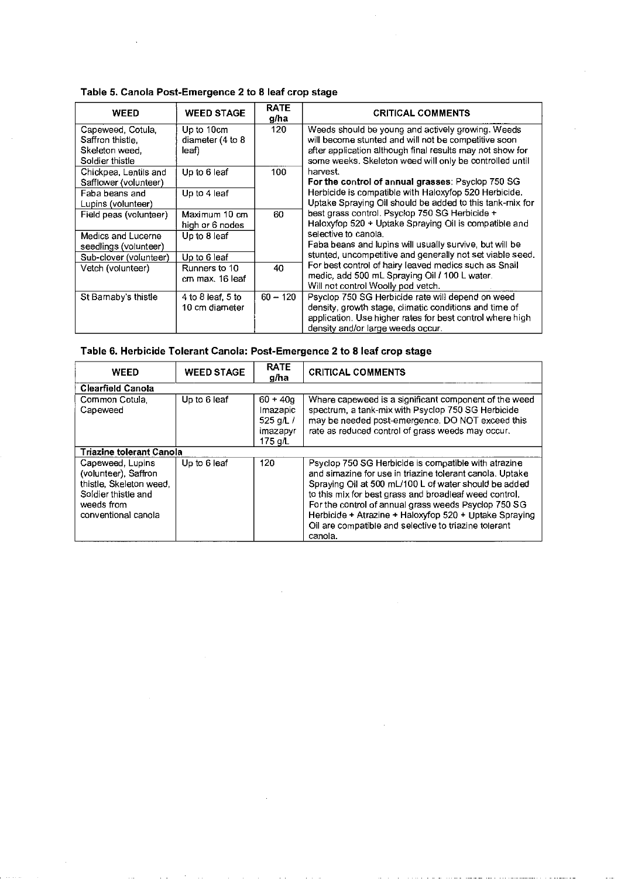# Table 5. Canola Post-Emergence 2 to 8 leaf crop stage

| <b>WEED</b>                           | <b>WEED STAGE</b>              | <b>RATE</b><br>g/ha | <b>CRITICAL COMMENTS</b>                                                                                  |
|---------------------------------------|--------------------------------|---------------------|-----------------------------------------------------------------------------------------------------------|
| Capeweed, Cotula,<br>Saffron thistle. | Up to 10cm<br>diameter (4 to 8 | 120                 | Weeds should be young and actively growing. Weeds<br>will become stunted and will not be competitive soon |
| Skeleton weed.                        | leaf)                          |                     | after application although final results may not show for                                                 |
| Soldier thistle                       |                                |                     | some weeks. Skeleton weed will only be controlled until                                                   |
| Chickpea, Lentils and                 | Up to 6 leaf                   | 100                 | harvest.                                                                                                  |
| Safflower (volunteer)                 |                                |                     | For the control of annual grasses: Psyclop 750 SG                                                         |
| Faba beans and                        | Up to 4 leaf                   |                     | Herbicide is compatible with Haloxyfop 520 Herbicide.                                                     |
| Lupins (volunteer)                    |                                |                     | Uptake Spraying Oil should be added to this tank-mix for                                                  |
| Field peas (volunteer)                | Maximum 10 cm                  | 60                  | best grass control. Psyclop 750 SG Herbicide +                                                            |
|                                       | high or 6 nodes                |                     | Haloxyfop 520 + Uptake Spraying Oil is compatible and                                                     |
| Medics and Lucerne                    | Up to 8 leaf                   |                     | selective to canola.                                                                                      |
| seedlings (volunteer)                 |                                |                     | Faba beans and lupins will usually survive, but will be                                                   |
| Sub-clover (volunteer)                | Up to 6 leaf                   |                     | stunted, uncompetitive and generally not set viable seed.                                                 |
| Vetch (volunteer)                     | Runners to 10                  | 40                  | For best control of hairy leaved medics such as Snail                                                     |
|                                       | cm max. 16 leaf                |                     | medic, add 500 mL Spraying Oil / 100 L water.                                                             |
|                                       |                                |                     | Will not control Woolly pod vetch.                                                                        |
| St Barnaby's thistle                  | 4 to 8 leaf, 5 to              | $60 - 120$          | Psyclop 750 SG Herbicide rate will depend on weed                                                         |
|                                       | 10 cm diameter                 |                     | density, growth stage, climatic conditions and time of                                                    |
|                                       |                                |                     | application. Use higher rates for best control where high                                                 |
|                                       |                                |                     | density and/or large weeds occur.                                                                         |

# Table 6. Herbicide Tolerant Canola: Post-Emergence 2 to 8 leaf crop stage

| WEED                                                                                                                            | <b>WEED STAGE</b> | <b>RATE</b><br>a/ha                                         | <b>CRITICAL COMMENTS</b>                                                                                                                                                                                                                                                                                                                                                                                                  |
|---------------------------------------------------------------------------------------------------------------------------------|-------------------|-------------------------------------------------------------|---------------------------------------------------------------------------------------------------------------------------------------------------------------------------------------------------------------------------------------------------------------------------------------------------------------------------------------------------------------------------------------------------------------------------|
| Clearfield Canola                                                                                                               |                   |                                                             |                                                                                                                                                                                                                                                                                                                                                                                                                           |
| Common Cotula.<br>Capeweed                                                                                                      | Up to 6 leaf      | $60 + 400$<br>Imazapic<br>525 $q/L/$<br>imazapyr<br>175 q/L | Where capeweed is a significant component of the weed<br>spectrum, a tank-mix with Psyclop 750 SG Herbicide<br>may be needed post-emergence. DO NOT exceed this<br>rate as reduced control of grass weeds may occur.                                                                                                                                                                                                      |
| <b>Triazine tolerant Canola</b>                                                                                                 |                   |                                                             |                                                                                                                                                                                                                                                                                                                                                                                                                           |
| Capeweed, Lupins<br>(volunteer), Saffron<br>thistle, Skeleton weed,<br>Soldier thistle and<br>weeds from<br>conventional canola | Up to 6 leaf      | 120                                                         | Psyclop 750 SG Herbicide is compatible with atrazine<br>and simazine for use in triazine tolerant canola. Uptake<br>Spraying Oil at 500 mL/100 L of water should be added<br>to this mix for best grass and broadleaf weed control.<br>For the control of annual grass weeds Psyclop 750 SG<br>Herbicide + Atrazine + Haloxyfop 520 + Uptake Spraying<br>Oil are compatible and selective to triazine tolerant<br>canola. |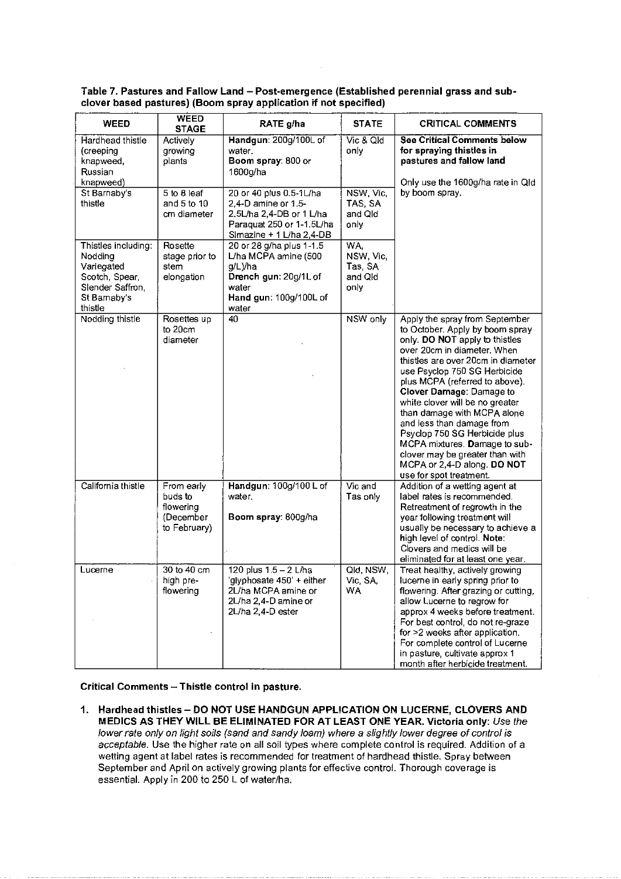| <b>WEED</b>                                                                                                   | WEED<br><b>STAGE</b>                                            | RATE g/ha                                                                                                                           | <b>STATE</b>                                   | <b>CRITICAL COMMENTS</b>                                                                                                                                                                                                                                                                                                                                                                                                                                                                                                             |
|---------------------------------------------------------------------------------------------------------------|-----------------------------------------------------------------|-------------------------------------------------------------------------------------------------------------------------------------|------------------------------------------------|--------------------------------------------------------------------------------------------------------------------------------------------------------------------------------------------------------------------------------------------------------------------------------------------------------------------------------------------------------------------------------------------------------------------------------------------------------------------------------------------------------------------------------------|
| Hardhead thistle<br>(creeping<br>knapweed,<br>Russian<br>knapweed)                                            | Actively<br>growing<br>plants                                   | Handgun: 200g/100L of<br>water.<br>Boom spray: 800 or<br>1600g/ha                                                                   | Vic & Qld<br>only                              | <b>See Critical Comments below</b><br>for spraying thistles in<br>pastures and fallow land<br>Only use the 1600g/ha rate in Old                                                                                                                                                                                                                                                                                                                                                                                                      |
| St Barnaby's<br>thistle                                                                                       | 5 to 8 leaf<br>and 5 to 10<br>cm diameter                       | 20 or 40 plus 0.5-1L/ha<br>2,4-D amine or 1.5-<br>2.5L/ha 2,4-DB or 1 L/ha<br>Paraquat 250 or 1-1.5L/ha<br>Simazine + 1 L/ha 2,4-DB | NSW, Vic.<br>TAS, SA<br>and Old<br>only        | by boom spray.                                                                                                                                                                                                                                                                                                                                                                                                                                                                                                                       |
| Thistles including:<br>Nodding<br>Variegated<br>Scotch, Spear,<br>Slender Saffron,<br>St Barnaby's<br>thistle | Rosette<br>stage prior to<br>stem<br>elongation                 | 20 or 28 g/ha plus 1-1.5<br>L/ha MCPA amine (500<br>g/L)/ha<br>Drench gun: 20g/1L of<br>water<br>Hand gun: 100g/100L of<br>water    | WA.<br>NSW, Vic,<br>Tas, SA<br>and Qld<br>only |                                                                                                                                                                                                                                                                                                                                                                                                                                                                                                                                      |
| Nodding thistle                                                                                               | Rosettes up<br>to 20cm<br>diameter                              | 40                                                                                                                                  | NSW only                                       | Apply the spray from September<br>to October. Apply by boom spray<br>only. DO NOT apply to thistles<br>over 20cm in diameter. When<br>thistles are over 20cm in diameter<br>use Psyclop 750 SG Herbicide<br>plus MCPA (referred to above).<br>Clover Damage: Damage to<br>white clover will be no greater<br>than damage with MCPA alone<br>and less than damage from<br>Psyclop 750 SG Herbicide plus<br>MCPA mixtures. Damage to sub-<br>clover may be greater than with<br>MCPA or 2,4-D along. DO NOT<br>use for spot treatment. |
| California thistle                                                                                            | From early<br>buds to<br>flowering<br>(December<br>to February) | Handgun: 100g/100 L of<br>water.<br>Boom spray: 800g/ha                                                                             | Vic and<br>Tas only                            | Addition of a wetting agent at<br>label rates is recommended.<br>Retreatment of regrowth in the<br>year following treatment will<br>usually be necessary to achieve a<br>high level of control. Note:<br>Clovers and medics will be<br>eliminated for at least one year.                                                                                                                                                                                                                                                             |
| Lucerne                                                                                                       | 30 to 40 cm<br>high pre-<br>flowering                           | 120 plus 1.5 - 2 L/ha<br>'glyphosate 450' + either<br>2L/ha MCPA amine or<br>2L/ha 2,4-D amine or<br>2L/ha 2,4-D ester              | Qld, NSW,<br>Vic, SA,<br><b>WA</b>             | Treat healthy, actively growing<br>lucerne in early spring prior to<br>flowering. After grazing or cutting,<br>allow Lucerne to regrow for<br>approx 4 weeks before treatment.<br>For best control, do not re-graze<br>for >2 weeks after application.<br>For complete control of Lucerne<br>in pasture, cultivate approx 1<br>month after herbicide treatment.                                                                                                                                                                      |

Table 7. Pastures and Fallow Land- Post-emergence (Established perennial grass and subclover based pastures) (Boom spray application if not specified)

Critical Comments- Thistle control in pasture.

1. Hardhead thistles- DO NOT USE HANDGUN APPLICATION ON LUCERNE, CLOVERS AND MEDICS AS THEY WILL BE ELIMINATED FOR AT LEAST ONE YEAR. Victoria only: Use the lower rate only on light soils (sand and sandy loam) where a slightly lower degree of control is acceptable. Use the higher rate on all soil types where complete control is required. Addition of a wetting agent at label rates is recommended for treatment of hardhead thistle. Spray between September and April on actively growing plants for effective control. Thorough coverage is essential. Apply in 200 to 250 L of water/ha.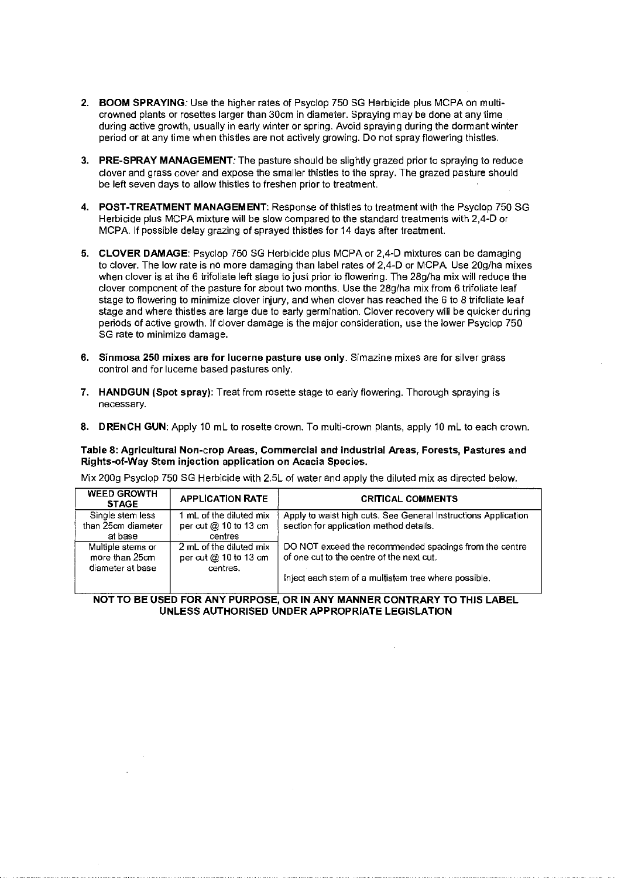- **2. BOOM SPRAYING:** Use the higher rates of Psyclop 750 SG Herbicide plus MCPA on multicrowned plants or rosettes larger than 30cm in diameter. Spraying may be done at any time during active growth, usually in early winter or spring. Avoid spraying during the dormant winter period or at any time when thistles are not actively growing. Do not spray flowering thistles.
- **3. PRE-SPRAY MANAGEMENT:** The pasture should be slightly grazed prior to spraying to reduce clover and grass cover and expose the smaller thistles to the spray. The grazed pasture should be left seven days to allow thistles to freshen prior to treatment.
- **4. POST-TREATMENT MANAGEMENT:** Response of thistles to treatment with the Psyclop 750 SG Herbicide plus MCPA mixture will be slow compared to the standard treatments with 2,4-D or MCPA. If possible delay grazing of sprayed thistles for 14 days after treatment.
- **5. CLOVER DAMAGE:** Psyclop 750 SG Herbicide plus MCPA or 2,4-D mixtures can be damaging to clover. The low rate is no more damaging than label rates of 2,4-D or MCPA. Use 20g/ha mixes when clover is at the 6 trifoliate left stage to just prior to flowering. The 28g/ha mix will reduce the clover component of the pasture for about two months. Use the 28g/ha mix from 6 trifoliate leaf stage to flowering to minimize clover injury, and when clover has reached the 6 to 8 trifoliate leaf stage and where thistles are large due to early germination. Clover recovery will be quicker during periods of active growth. If clover damage is the major consideration, use the lower Psyclop 750 SG rate to minimize damage.
- **6. Sinmosa 250 mixes are for lucerne pasture use only.** Simazine mixes are for silver grass control and for lucerne based pastures only.
- **7. HANDGUN (Spot spray):** Treat from rosette stage to early flowering. Thorough spraying is **necessary.**
- **8. DRENCH GUN:** Apply 10 mL to rosette crown. To multi-crown plants, apply 10 mL to each crown.

**Table 8: Agricultural Non-crop Areas, Commercial and Industrial Areas, Forests, Pastures and Rights-of-Way Stem injection application on Acacia Species.** 

Mix 200g Psyclop 750 SG Herbicide with 2.5L of water and apply the diluted mix as directed below.

| <b>WEED GROWTH</b><br><b>STAGE</b> | <b>APPLICATION RATE</b> | <b>CRITICAL COMMENTS</b>                                       |
|------------------------------------|-------------------------|----------------------------------------------------------------|
| Single stem less                   | 1 mL of the diluted mix | Apply to waist high cuts. See General Instructions Application |
| than 25cm diameter                 | per cut @ 10 to 13 cm   | section for application method details.                        |
| at base                            | centres                 |                                                                |
| Multiple stems or                  | 2 mL of the diluted mix | DO NOT exceed the recommended spacings from the centre         |
| more than 25cm                     | per cut $@$ 10 to 13 cm | of one cut to the centre of the next cut.                      |
| diameter at base                   | centres.                |                                                                |
|                                    |                         | inject each stem of a multistem tree where possible.           |
|                                    |                         |                                                                |

## **NOT TO BE USED FOR ANY PURPOSE, OR IN ANY MANNER CONTRARY TO THIS LABEL UNLESS AUTHORISED UNDER APPROPRIATE LEGISLATION**

 $\mathcal{A}$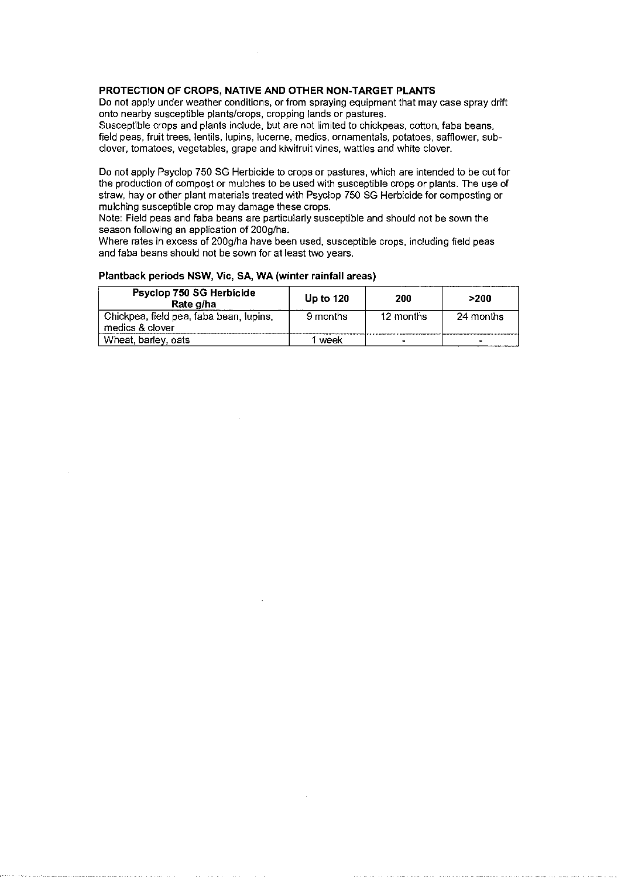# **PROTECTION OF CROPS, NATIVE AND OTHER NON-TARGET PLANTS**

Do not apply under weather conditions, or from spraying equipment that may case spray drift onto nearby susceptible plants/crops, cropping lands or pastures.

Susceptible crops and plants include, but are not limited to chickpeas, cotton, faba beans, field peas, fruit trees, lentils, lupins, lucerne, medics, ornamentals, potatoes, safflower, subclover, tomatoes, vegetables, grape and kiwifruit vines, wattles and white clover.

Do not apply Psyclop 750 SG Herbicide to crops or pastures, which are intended to be cut for the production of compost or mulches to be used with susceptible crops or plants. The use of straw, hay or other plant materials treated with Psyclop 750 SG Herbicide for composting or mulching susceptible crop may damage these crops.

Note: Field peas and faba beans are particularly susceptible and should not be sown the season following an application of 200g/ha.

Where rates in excess of 200g/ha have been used, susceptible crops, including field peas and faba beans should not be sown for at least two years.

#### **Plantback periods NSW, Vic, SA, WA (winter rainfall areas)**

| Psyclop 750 SG Herbicide<br>Rate g/ha                      | <b>Up to 120</b> | 200            | >200      |
|------------------------------------------------------------|------------------|----------------|-----------|
| Chickpea, field pea, faba bean, lupins,<br>medics & clover | 9 months         | 12 months      | 24 months |
| Wheat, barley, oats                                        | week             | $\blacksquare$ |           |